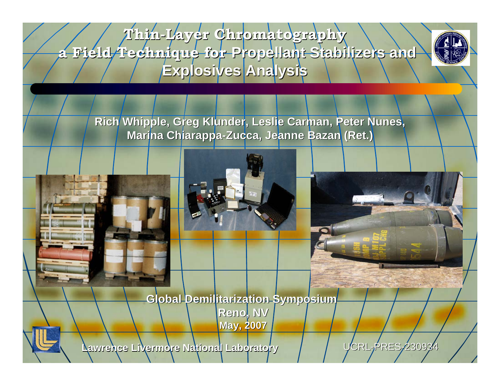**Thin-Layer Chromatography Layer Chromatography a Field Technique for a Field Technique for Propellant Stabilizers and Propellant Stabilizers and Explosives Analysis Explosives Analysis**



**Rich Whipple, Greg Klunder, Leslie Carman, Peter Nunes, Marina Chiarappa-Zucca, Jeanne Bazan (Ret.)** 





**Global Demilitarization Symposium Global Demilitarization Symposium Reno, NV Reno, NV May, 2007 May, 2007**



**Lawrence Livermore National Laboratory Lawrence Livermore National Laboratory**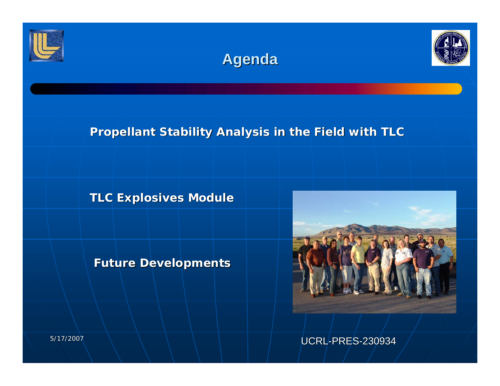





## **Propellant Stability Analysis in the Field with TLC**

**TLC Explosives Module TLC Explosives Module**

**Future Developments Future Developments**



UCRL-PRES-230934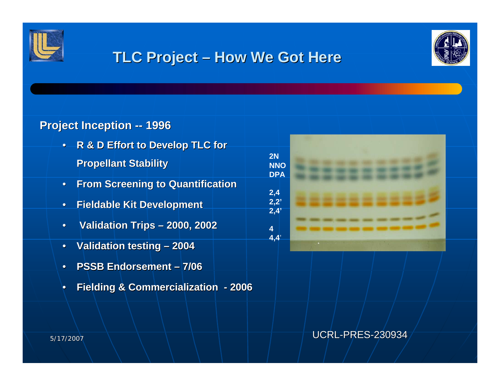

# **TLC Project – How We Got Here**

**4**



## **Project Inception -- 1996**

- •**R & D Effort to Develop TLC for Propellant Stability Propellant Stability**
- •**From Screening to Quantification From Screening to Quantification**
- $\bullet$ **Fieldable Fieldable Kit Development Kit Development**
- •**Validation Trips Validation Trips – 2000, 2002 2000, 2002**
- •**Validation testing – 2004**
- •**PSSB Endorsement – 7/06**
- •**Fielding & Commercialization Fielding & Commercialization - 2006**

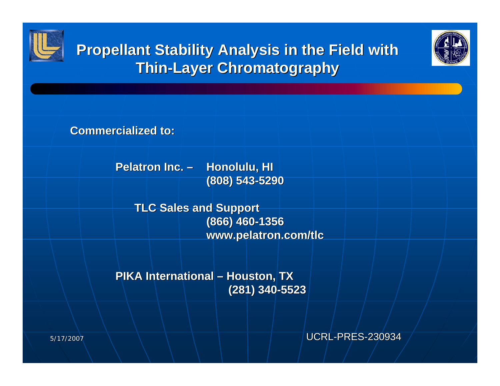





**Commercialized to: Commercialized to:**

**Pelatron Inc. – Honolulu, HI (808) 543 (808) 543-5290**

> **TLC Sales and Support TLC Sales and Support (866) 460 (866) 460-1356 www.pelatron.com/tlc www.pelatron.com/tlc**

**PIKA International – Houston, TX (281) 340 (281) 340-5523**

UCRL-PRES-230934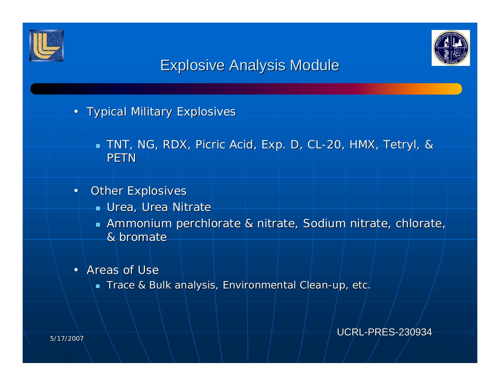



# **Explosive Analysis Module**

- Typical Military Explosives
	- $\blacksquare$  TNT, NG, RDX, Picric Acid, Exp. D, CL-20, HMX, Tetryl, & PETN
- •**Other Explosives** 
	- Urea, Urea Nitrate
	- **Ammonium perchlorate & nitrate, Sodium nitrate, chlorate,** anit & bromate
- Areas of Use
	- $\bullet\,$  Trace & Bulk analysis, Environmental Clean-up, etc.  $\bullet\,$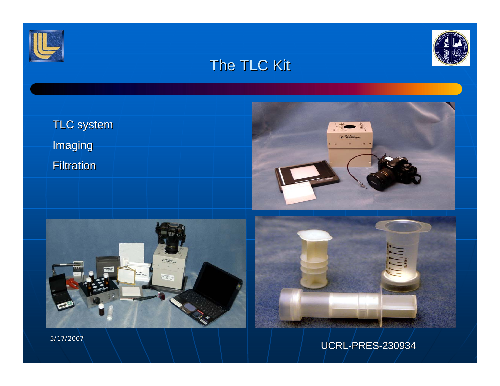



# The TLC Kit



5/17/2007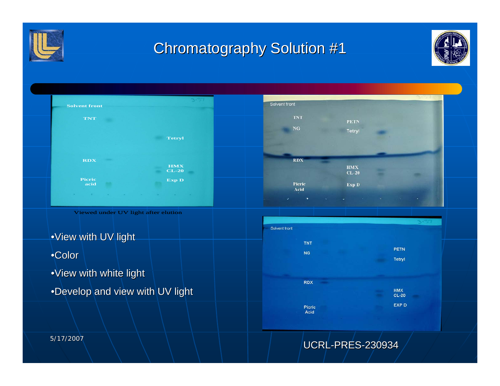

# **Chromatography Solution #1**





Viewed under UV light after elution

 $\bullet$ View with UV light

•Color

 $\cdot$ View with white light

•Develop and view with UV light



UCRL-PRES-230934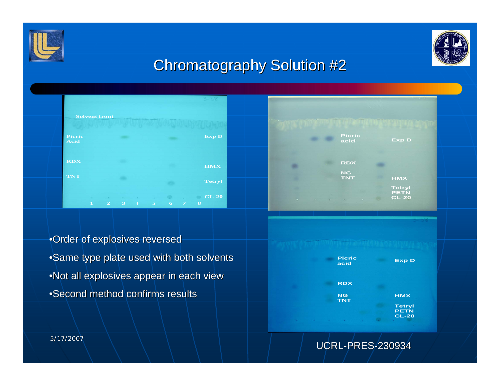



# Chromatography Solution #2





•Order of explosives reversed •Same type plate used with both solvents •Not all explosives appear in each view  $\bullet$ Second method confirms results



UCRL-PRES-230934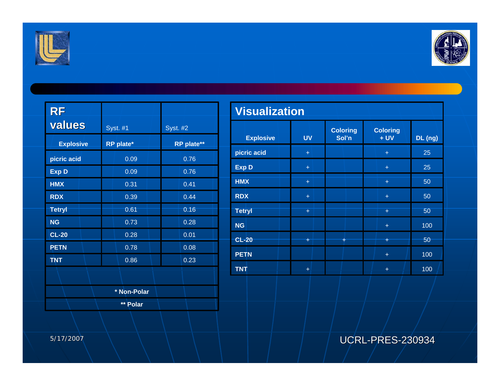



| <b>RF</b>        |                 |                 |  |  |  |
|------------------|-----------------|-----------------|--|--|--|
| values           | <b>Syst. #1</b> | <b>Syst. #2</b> |  |  |  |
| <b>Explosive</b> | RP plate*       | RP plate**      |  |  |  |
| picric acid      | 0.09            | 0.76            |  |  |  |
| <b>Exp D</b>     | 0.09            | 0.76            |  |  |  |
| <b>HMX</b>       | 0.31            | 0.41            |  |  |  |
| <b>RDX</b>       | 0.39            | 0.44            |  |  |  |
| <b>Tetryl</b>    | 0.61            | 0.16            |  |  |  |
| <b>NG</b>        | 0.73            | 0.28            |  |  |  |
| <b>CL-20</b>     | 0.28            | 0.01            |  |  |  |
| <b>PETN</b>      | 0.78            | 0.08            |  |  |  |
| <b>TNT</b>       | 0.86            | 0.23            |  |  |  |
|                  |                 |                 |  |  |  |
|                  | * Non-Polar     |                 |  |  |  |
|                  | ** Polar        |                 |  |  |  |

| <b>Visualization</b> |           |                                                      |           |         |  |  |  |  |
|----------------------|-----------|------------------------------------------------------|-----------|---------|--|--|--|--|
| <b>Explosive</b>     | <b>UV</b> | <b>Coloring</b><br><b>Coloring</b><br>$+UV$<br>Sol'n |           | DL (ng) |  |  |  |  |
| picric acid          | $+$       |                                                      | $+$       | 25      |  |  |  |  |
| <b>Exp D</b>         | $+$       |                                                      | $+$       | 25      |  |  |  |  |
| <b>HMX</b>           | ÷         |                                                      | $+$       | 50      |  |  |  |  |
| <b>RDX</b>           | $+$       |                                                      | $+$       | 50      |  |  |  |  |
| <b>Tetryl</b>        | $+$       |                                                      | $+$       | 50      |  |  |  |  |
| <b>NG</b>            |           |                                                      | $+$       | 100     |  |  |  |  |
| $CL-20$              | Ŧ         | ÷                                                    | Ŧ         | 50      |  |  |  |  |
| <b>PETN</b>          |           |                                                      | $+$       | 100     |  |  |  |  |
| <b>TNT</b>           | $\ddot{}$ |                                                      | $\ddot{}$ | 100     |  |  |  |  |

UCRL-PRES-230934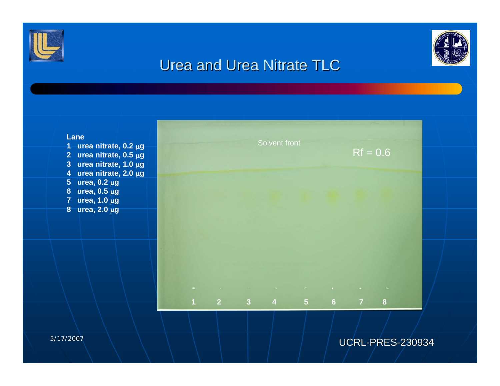



## Urea and Urea Nitrate TLC

#### **Lane**

- **1 urea nitrate, 0.2** μ**g 2 urea nitrate, 0.5** μ**g 3 urea nitrate, 1.0** μ**g 4 urea nitrate, 2.0** μ**g**
- **5 urea, 0.2** μ**g**
- **6 urea, 0.5** μ**g**
- **7 urea, 1.0** μ**g**
- **8 urea, 2.0** μ**g**

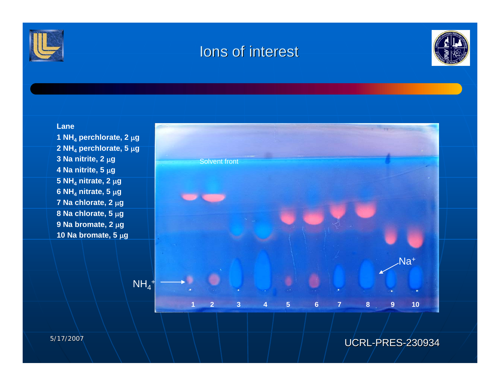

## Ions of interest



#### **Lane**

**1 NH4 perchlorate, 2** μ**g 2 NH4 perchlorate, 5** μ**g 3 Na nitrite, 2** μ**g 4 Na nitrite, 5** μ**g 5 NH4 nitrate, 2** μ**g 6 NH4 nitrate, 5** μ**g 7 Na chlorate, 2** μ**g 8 Na chlorate, 5** μ**g 9 Na bromate, 2** μ**g 10 Na bromate, 5** μ**g**



## UCRL-PRES-230934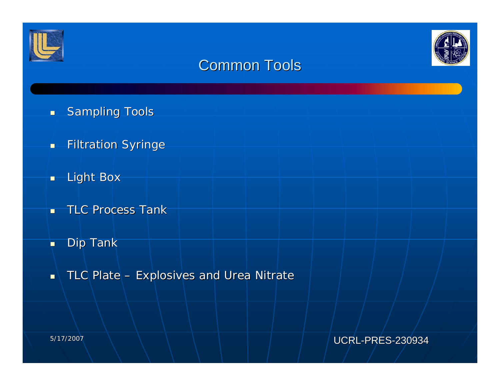



## Common Tools

- $\blacksquare$ **Sampling Tools**
- $\blacksquare$ **Filtration Syringe**
- $\blacksquare$ Light Box
- $\blacksquare$ **TLC Process Tank**
- H Dip Tank
- $\blacksquare$ TLC Plate – Explosives and Urea Nitrate

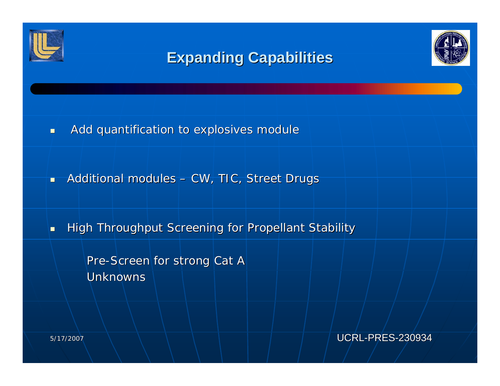

# **Expanding Capabilities Expanding Capabilities**



п Add quantification to explosives module

×. Additional modules – CW, TIC, Street Drugs

П High Throughput Screening for Propellant Stability

> Pre-Screen for strong Cat A Unknowns

> > UCRL-PRES-230934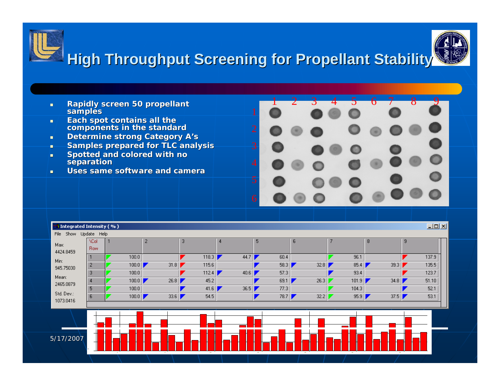



- $\blacksquare$ **Each spot contains all the spot contains components in the standard**
- $\mathbf{m}$ **Determine strong Category A's**
- ×. **Samples prepared for TLC analysis**
- п **Spotted and colored with no separation**
- $\blacksquare$ **Uses same software and camera**



| <b>H</b> Integrated Intensity ( % ) |                           |       |                |       |      |         |      |       |              | $\Box$ D $\times$ |
|-------------------------------------|---------------------------|-------|----------------|-------|------|---------|------|-------|--------------|-------------------|
| Update Help<br>Show<br>File         |                           |       |                |       |      |         |      |       |              |                   |
| Max:<br>4424.8459                   | <b>\Col</b><br><b>Row</b> |       | $\overline{2}$ | 3     | 4    | 5       | 6    |       | 8            | 9                 |
| Min:                                |                           | 100.0 |                | 118.3 | 44.7 | 60.4    |      | 96.1  |              | 137.9             |
| 945.75030                           | $\overline{2}$            | 100.0 | 31.8           | 115.6 |      | 58.3    | 32.8 | 85.4  | 39.3         | 135.5             |
| Mean:<br>2465.0879                  | 3                         | 100.0 |                | 112.4 | 40.6 | 57.3    |      | 93.4  |              | 123.7             |
|                                     |                           | 100.0 | 26.8           | 45.2  |      | 69.1    | 26.3 | 101.9 | 34.8         | 51.10             |
|                                     | 5                         | 100.0 |                | 41.6  | 36.5 | 77.3    |      | 104.3 |              | 52.1              |
| Std. Dev.:                          | 6                         | 100.0 | 33.6           | 54.5  |      | 78.7    | 32.2 | 95.9  | 37.5         | 53.1              |
| 1073.0416                           |                           |       |                |       |      |         |      |       |              |                   |
| 5/17/2007                           |                           | $-4$  |                | 10    |      | $10-10$ | 16   | 16    | $\mathbf{z}$ |                   |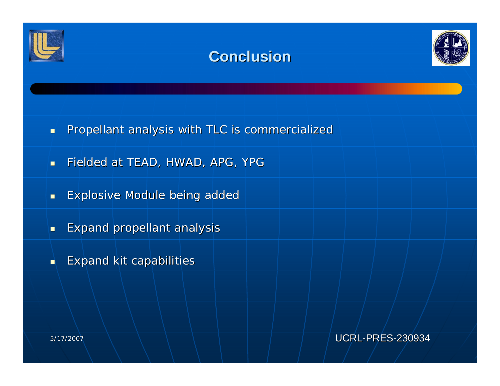





- п Propellant analysis with TLC is commercialized
- $\blacksquare$ Fielded at TEAD, HWAD, APG, YPG
- $\blacksquare$ Explosive Module being added Explosive Module being added
- Ξ Expand propellant analysis Expand propellant analysis
- п Expand kit capabilities